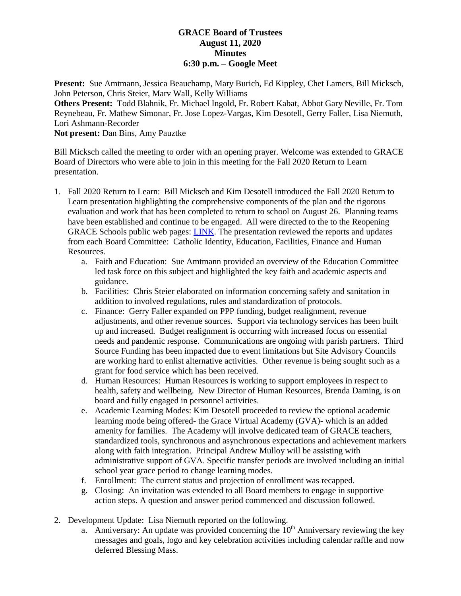## **GRACE Board of Trustees August 11, 2020 Minutes 6:30 p.m. – Google Meet**

**Present:** Sue Amtmann, Jessica Beauchamp, Mary Burich, Ed Kippley, Chet Lamers, Bill Micksch, John Peterson, Chris Steier, Marv Wall, Kelly Williams

**Others Present:** Todd Blahnik, Fr. Michael Ingold, Fr. Robert Kabat, Abbot Gary Neville, Fr. Tom Reynebeau, Fr. Mathew Simonar, Fr. Jose Lopez-Vargas, Kim Desotell, Gerry Faller, Lisa Niemuth, Lori Ashmann-Recorder

**Not present:** Dan Bins, Amy Pauztke

Bill Micksch called the meeting to order with an opening prayer. Welcome was extended to GRACE Board of Directors who were able to join in this meeting for the Fall 2020 Return to Learn presentation.

- 1. Fall 2020 Return to Learn: Bill Micksch and Kim Desotell introduced the Fall 2020 Return to Learn presentation highlighting the comprehensive components of the plan and the rigorous evaluation and work that has been completed to return to school on August 26. Planning teams have been established and continue to be engaged. All were directed to the to the Reopening GRACE Schools public web pages: [LINK.](https://gracesystem.org/reopening-grace-schools-2020-21/) The presentation reviewed the reports and updates from each Board Committee: Catholic Identity, Education, Facilities, Finance and Human Resources.
	- a. Faith and Education: Sue Amtmann provided an overview of the Education Committee led task force on this subject and highlighted the key faith and academic aspects and guidance.
	- b. Facilities: Chris Steier elaborated on information concerning safety and sanitation in addition to involved regulations, rules and standardization of protocols.
	- c. Finance: Gerry Faller expanded on PPP funding, budget realignment, revenue adjustments, and other revenue sources. Support via technology services has been built up and increased. Budget realignment is occurring with increased focus on essential needs and pandemic response. Communications are ongoing with parish partners. Third Source Funding has been impacted due to event limitations but Site Advisory Councils are working hard to enlist alternative activities. Other revenue is being sought such as a grant for food service which has been received.
	- d. Human Resources: Human Resources is working to support employees in respect to health, safety and wellbeing. New Director of Human Resources, Brenda Daming, is on board and fully engaged in personnel activities.
	- e. Academic Learning Modes: Kim Desotell proceeded to review the optional academic learning mode being offered- the Grace Virtual Academy (GVA)- which is an added amenity for families. The Academy will involve dedicated team of GRACE teachers, standardized tools, synchronous and asynchronous expectations and achievement markers along with faith integration. Principal Andrew Mulloy will be assisting with administrative support of GVA. Specific transfer periods are involved including an initial school year grace period to change learning modes.
	- f. Enrollment: The current status and projection of enrollment was recapped.
	- g. Closing: An invitation was extended to all Board members to engage in supportive action steps. A question and answer period commenced and discussion followed.
- 2. Development Update: Lisa Niemuth reported on the following.
	- a. Anniversary: An update was provided concerning the  $10<sup>th</sup>$  Anniversary reviewing the key messages and goals, logo and key celebration activities including calendar raffle and now deferred Blessing Mass.